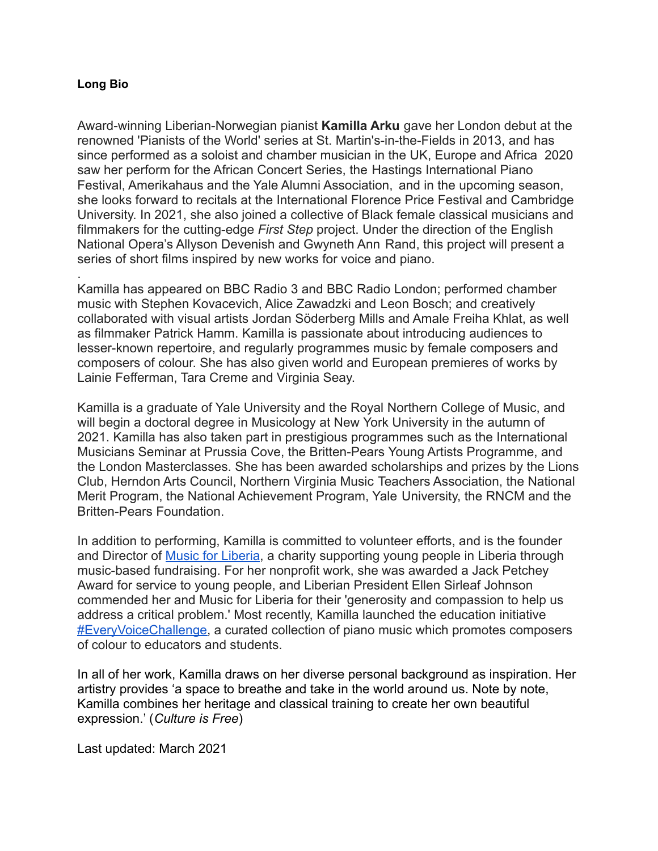## **Long Bio**

.

Award-winning Liberian-Norwegian pianist **Kamilla Arku** gave her London debut at the renowned 'Pianists of the World' series at St. Martin's-in-the-Fields in 2013, and has since performed as a soloist and chamber musician in the UK, Europe and Africa 2020 saw her perform for the African Concert Series, the Hastings International Piano Festival, Amerikahaus and the Yale Alumni Association, and in the upcoming season, she looks forward to recitals at the International Florence Price Festival and Cambridge University. In 2021, she also joined a collective of Black female classical musicians and filmmakers for the cutting-edge *First Step* project. Under the direction of the English National Opera's Allyson Devenish and Gwyneth Ann Rand, this project will present a series of short films inspired by new works for voice and piano.

Kamilla has appeared on BBC Radio 3 and BBC Radio London; performed chamber music with Stephen Kovacevich, Alice Zawadzki and Leon Bosch; and creatively collaborated with visual artists Jordan Söderberg Mills and Amale Freiha Khlat, as well as filmmaker Patrick Hamm. Kamilla is passionate about introducing audiences to lesser-known repertoire, and regularly programmes music by female composers and composers of colour. She has also given world and European premieres of works by Lainie Fefferman, Tara Creme and Virginia Seay.

Kamilla is a graduate of Yale University and the Royal Northern College of Music, and will begin a doctoral degree in Musicology at New York University in the autumn of 2021. Kamilla has also taken part in prestigious programmes such as the International Musicians Seminar at Prussia Cove, the Britten-Pears Young Artists Programme, and the London Masterclasses. She has been awarded scholarships and prizes by the Lions Club, Herndon Arts Council, Northern Virginia Music Teachers Association, the National Merit Program, the National Achievement Program, Yale University, the RNCM and the Britten-Pears Foundation.

In addition to performing, Kamilla is committed to volunteer efforts, and is the founder and Director of [Music for Liberia](http://www.musicforliberia.com), a charity supporting young people in Liberia through music-based fundraising. For her nonprofit work, she was awarded a Jack Petchey Award for service to young people, and Liberian President Ellen Sirleaf Johnson commended her and Music for Liberia for their 'generosity and compassion to help us address a critical problem.' Most recently, Kamilla launched the education initiative [#EveryVoiceChallenge,](http://www.kamillaarku.com/everyvoicechallenge) a curated collection of piano music which promotes composers of colour to educators and students.

In all of her work, Kamilla draws on her diverse personal background as inspiration. Her artistry provides 'a space to breathe and take in the world around us. Note by note, Kamilla combines her heritage and classical training to create her own beautiful expression.' (*Culture is Free*)

Last updated: March 2021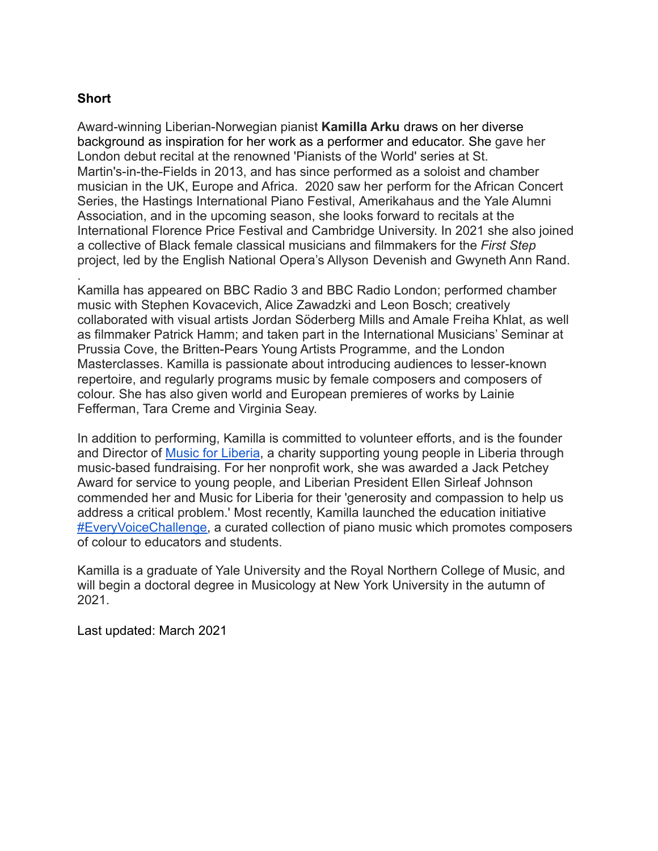## **Short**

Award-winning Liberian-Norwegian pianist **Kamilla Arku** draws on her diverse background as inspiration for her work as a performer and educator. She gave her London debut recital at the renowned 'Pianists of the World' series at St. Martin's-in-the-Fields in 2013, and has since performed as a soloist and chamber musician in the UK, Europe and Africa. 2020 saw her perform for the African Concert Series, the Hastings International Piano Festival, Amerikahaus and the Yale Alumni Association, and in the upcoming season, she looks forward to recitals at the International Florence Price Festival and Cambridge University. In 2021 she also joined a collective of Black female classical musicians and filmmakers for the *First Step* project, led by the English National Opera's Allyson Devenish and Gwyneth Ann Rand. .

Kamilla has appeared on BBC Radio 3 and BBC Radio London; performed chamber music with Stephen Kovacevich, Alice Zawadzki and Leon Bosch; creatively collaborated with visual artists Jordan Söderberg Mills and Amale Freiha Khlat, as well as filmmaker Patrick Hamm; and taken part in the International Musicians' Seminar at Prussia Cove, the Britten-Pears Young Artists Programme, and the London Masterclasses. Kamilla is passionate about introducing audiences to lesser-known repertoire, and regularly programs music by female composers and composers of colour. She has also given world and European premieres of works by Lainie Fefferman, Tara Creme and Virginia Seay.

In addition to performing, Kamilla is committed to volunteer efforts, and is the founder and Director of [Music for Liberia](http://www.musicforliberia.com), a charity supporting young people in Liberia through music-based fundraising. For her nonprofit work, she was awarded a Jack Petchey Award for service to young people, and Liberian President Ellen Sirleaf Johnson commended her and Music for Liberia for their 'generosity and compassion to help us address a critical problem.' Most recently, Kamilla launched the education initiative [#EveryVoiceChallenge,](http://www.kamillaarku.com/everyvoicechallenge) a curated collection of piano music which promotes composers of colour to educators and students.

Kamilla is a graduate of Yale University and the Royal Northern College of Music, and will begin a doctoral degree in Musicology at New York University in the autumn of 2021.

Last updated: March 2021